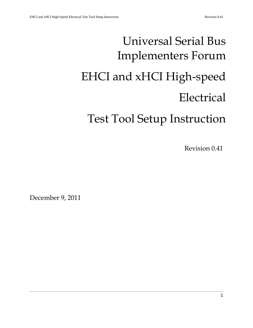# Universal Serial Bus Implementers Forum EHCI and xHCI High-speed Electrical Test Tool Setup Instruction

Revision 0.41

December 9, 2011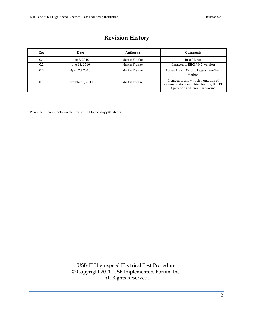# **Revision History**

| Rev | <b>Date</b>      | Author(s)     | <b>Comments</b>                                                                                                 |
|-----|------------------|---------------|-----------------------------------------------------------------------------------------------------------------|
| 0.1 | June 7, 2010     | Martin Franke | <b>Initial Draft</b>                                                                                            |
| 0.2 | June 16, 2010    | Martin Franke | Changed to EHCI/xHCI version                                                                                    |
| 0.3 | April 28, 2010   | Martin Franke | Added Add-In Card to Legacy Free Test<br>Method                                                                 |
| 0.4 | December 9, 2011 | Martin Franke | Changed to allow implementation of<br>automatic stack switching feature, HSETT<br>Operation and Troubleshooting |

Please send comments via electronic mail to techsupp@usb.org

USB-IF High-speed Electrical Test Procedure © Copyright 2011, USB Implementers Forum, Inc. All Rights Reserved.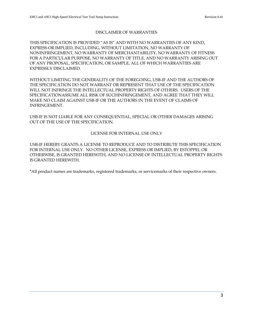#### DISCLAIMER OF WARRANTIES

THIS SPECIFICATION IS PROVIDED "AS IS" AND WITH NO WARRANTIES OF ANY KIND, EXPRESS OR IMPLIED, INCLUDING, WITHOUT LIMITATION, NO WARRANTY OF NONINFRINGEMENT, NO WARRANTY OF MERCHANTABILITY, NO WARRANTY OF FITNESS FOR A PARTICULAR PURPOSE, NO WARRANTY OF TITLE, AND NO WARRANTY ARISING OUT OF ANY PROPOSAL, SPECIFICATION, OR SAMPLE, ALL OF WHICH WARRANTIES ARE EXPRESSLY DISCLAIMED.

WITHOUT LIMITING THE GENERALITY OF THE FOREGOING, USB-IF AND THE AUTHORS OF THE SPECIFICATION DO NOT WARRANT OR REPRESENT THAT USE OF THE SPECIFICATION WILL NOT INFRINGE THE INTELLECTUAL PROPERTY RIGHTS OF OTHERS. USERS OF THE SPECIFICATIONASSUME ALL RISK OF SUCHINFRINGEMENT, AND AGREE THAT THEY WILL MAKE NO CLAIM AGAINST USB-IF OR THE AUTHORS IN THE EVENT OF CLAIMS OF INFRINGEMENT.

USB-IF IS NOT LIABLE FOR ANY CONSEQUENTIAL, SPECIAL OR OTHER DAMAGES ARISING OUT OF THE USE OF THE SPECIFICATION.

#### LICENSE FOR INTERNAL USE ONLY

USB-IF HEREBY GRANTS A LICENSE TO REPRODUCE AND TO DISTRIBUTE THIS SPECIFICATION FOR INTERNAL USE ONLY. NO OTHER LICENSE, EXPRESS OR IMPLIED, BY ESTOPPEL OR OTHERWISE, IS GRANTED HEREWITH, AND NO LICENSE OF INTELLECTUAL PROPERTY RIGHTS IS GRANTED HEREWITH.

\*All product names are trademarks, registered trademarks, or servicemarks of their respective owners.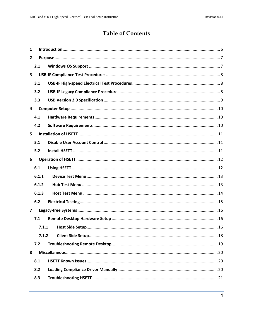# **Table of Contents**

| 1                       |       |  |
|-------------------------|-------|--|
| $\mathbf{2}$            |       |  |
|                         | 2.1   |  |
| $\overline{\mathbf{3}}$ |       |  |
|                         | 3.1   |  |
|                         | 3.2   |  |
|                         | 3.3   |  |
| 4                       |       |  |
|                         | 4.1   |  |
|                         | 4.2   |  |
| 5                       |       |  |
|                         | 5.1   |  |
|                         | 5.2   |  |
| 6                       |       |  |
|                         | 6.1   |  |
|                         | 6.1.1 |  |
|                         | 6.1.2 |  |
|                         | 6.1.3 |  |
|                         | 6.2   |  |
| $\overline{\mathbf{z}}$ |       |  |
|                         | 7.1   |  |
|                         | 7.1.1 |  |
|                         | 7.1.2 |  |
|                         | 7.2   |  |
| 8                       |       |  |
|                         | 8.1   |  |
|                         | 8.2   |  |
|                         | 8.3   |  |
|                         |       |  |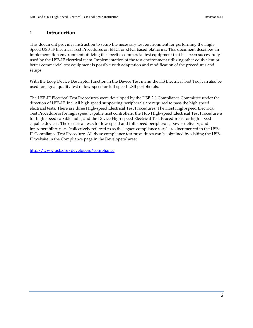# <span id="page-5-0"></span>**1 Introduction**

This document provides instruction to setup the necessary test environment for performing the High-Speed USB-IF Electrical Test Procedures on EHCI or xHCI based platforms. This document describes an implementation environment utilizing the specific commercial test equipment that has been successfully used by the USB-IF electrical team. Implementation of the test environment utilizing other equivalent or better commercial test equipment is possible with adaptation and modification of the procedures and setups.

With the Loop Device Descriptor function in the Device Test menu the HS Electrical Test Tool can also be used for signal quality test of low-speed or full-speed USB peripherals.

The USB-IF Electrical Test Procedures were developed by the USB 2.0 Compliance Committee under the direction of USB-IF, Inc. All high speed supporting peripherals are required to pass the high speed electrical tests. There are three High-speed Electrical Test Procedures: The Host High-speed Electrical Test Procedure is for high speed capable host controllers, the Hub High-speed Electrical Test Procedure is for high-speed capable hubs, and the Device High-speed Electrical Test Procedure is for high-speed capable devices. The electrical tests for low-speed and full-speed peripherals, power delivery, and interoperability tests (collectively referred to as the legacy compliance tests) are documented in the USB-IF Compliance Test Procedure. All these compliance test procedures can be obtained by visiting the USB-IF website in the Compliance page in the Developers' area:

<http://www.usb.org/developers/compliance>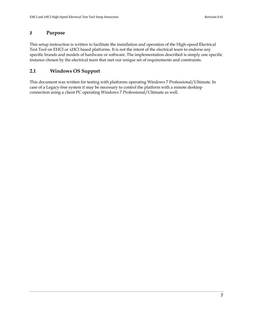# <span id="page-6-0"></span>**2 Purpose**

This setup instruction is written to facilitate the installation and operation of the High-speed Electrical Test Tool on EHCI or xHCI based platforms. It is not the intent of the electrical team to endorse any specific brands and models of hardware or software. The implementation described is simply one specific instance chosen by the electrical team that met our unique set of requirements and constraints.

# <span id="page-6-1"></span>**2.1 Windows OS Support**

This document was written for testing with platforms operating Windows 7 Professional/Ultimate. In case of a Legacy-free system it may be necessary to control the platform with a remote desktop connection using a client PC operating Windows 7 Professional/Ultimate as well.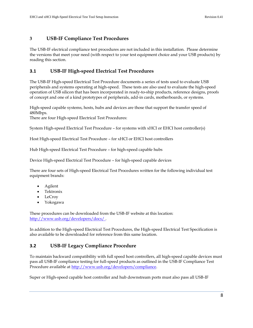# <span id="page-7-0"></span>**3 USB-IF Compliance Test Procedures**

The USB-IF electrical compliance test procedures are not included in this installation. Please determine the versions that meet your need (with respect to your test equipment choice and your USB products) by reading this section.

## <span id="page-7-1"></span>**3.1 USB-IF High-speed Electrical Test Procedures**

The USB-IF High-speed Electrical Test Procedure documents a series of tests used to evaluate USB peripherals and systems operating at high-speed. These tests are also used to evaluate the high-speed operation of USB silicon that has been incorporated in ready-to-ship products, reference designs, proofs of concept and one of a kind prototypes of peripherals, add-in cards, motherboards, or systems.

High-speed capable systems, hosts, hubs and devices are those that support the transfer speed of 480Mbps.

There are four High-speed Electrical Test Procedures:

System High-speed Electrical Test Procedure – for systems with xHCI or EHCI host controller(s)

Host High-speed Electrical Test Procedure – for xHCI or EHCI host controllers

Hub High-speed Electrical Test Procedure – for high-speed capable hubs

Device High-speed Electrical Test Procedure – for high-speed capable devices

There are four sets of High-speed Electrical Test Procedures written for the following individual test equipment brands:

- Agilent
- Tektronix
- LeCroy
- Yokogawa

These procedures can be downloaded from the USB-IF website at this location: http://www.usb.org/developers/docs/ .

In addition to the High-speed Electrical Test Procedures, the High-speed Electrical Test Specification is also available to be downloaded for reference from this same location.

# <span id="page-7-2"></span>**3.2 USB-IF Legacy Compliance Procedure**

To maintain backward compatibility with full speed host controllers, all high-speed capable devices must pass all USB-IF compliance testing for full-speed products as outlined in the USB-IF Compliance Test Procedure available at http://www.usb.org/developers/compliance.

Super or High-speed capable host controller and hub downstream ports must also pass all USB-IF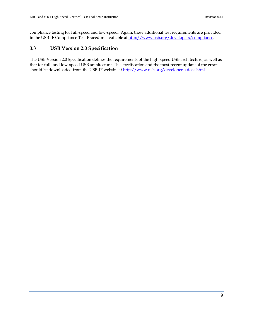compliance testing for full-speed and low-speed. Again, these additional test requirements are provided in the USB-IF Compliance Test Procedure available at http://www.usb.org/developers/compliance.

# <span id="page-8-0"></span>**3.3 USB Version 2.0 Specification**

The USB Version 2.0 Specification defines the requirements of the high-speed USB architecture, as well as that for full- and low-speed USB architecture. The specification and the most recent update of the errata should be downloaded from the USB-IF website at http://www.usb.org/developers/docs.html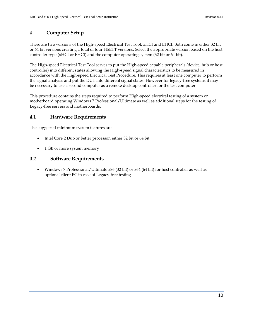# <span id="page-9-0"></span>**4 Computer Setup**

There are two versions of the High-speed Electrical Test Tool: xHCI and EHCI. Both come in either 32 bit or 64 bit versions creating a total of four HSETT versions. Select the appropriate version based on the host controller type (xHCI or EHCI) and the computer operating system (32 bit or 64 bit).

The High-speed Electrical Test Tool serves to put the High-speed capable peripherals (device, hub or host controller) into different states allowing the High-speed signal characteristics to be measured in accordance with the High-speed Electrical Test Procedure. This requires at least one computer to perform the signal analysis and put the DUT into different signal states. However for legacy-free systems it may be necessary to use a second computer as a remote desktop controller for the test computer.

This procedure contains the steps required to perform High-speed electrical testing of a system or motherboard operating Windows 7 Professional/Ultimate as well as additional steps for the testing of Legacy-free servers and motherboards.

# <span id="page-9-1"></span>**4.1 Hardware Requirements**

The suggested minimum system features are:

- Intel Core 2 Duo or better processor, either 32 bit or 64 bit
- 1 GB or more system memory

# <span id="page-9-2"></span>**4.2 Software Requirements**

 Windows 7 Professional/Ultimate x86 (32 bit) or x64 (64 bit) for host controller as well as optional client PC in case of Legacy-free testing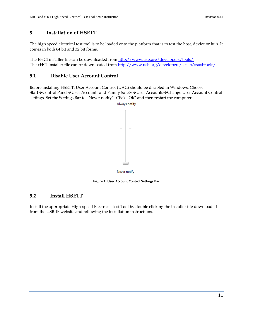# <span id="page-10-0"></span>**5 Installation of HSETT**

The high speed electrical test tool is to be loaded onto the platform that is to test the host, device or hub. It comes in both 64 bit and 32 bit forms.

The EHCI installer file can be downloaded from<http://www.usb.org/developers/tools/> The xHCI installer file can be downloaded from [http://www.usb.org/developers/ssusb/ssusbtools/.](http://www.usb.org/developers/ssusb/ssusbtools/)

### <span id="page-10-1"></span>**5.1 Disable User Account Control**

Before installing HSETT, User Account Control (UAC) should be disabled in Windows. Choose Start→Control Panel→User Accounts and Family Safety→User Accounts→Change User Account Control settings. Set the Settings Bar to "Never notify". Click "Ok" and then restart the computer.

Always notify



**Figure 1: User Account Control Settings Bar**

#### <span id="page-10-3"></span><span id="page-10-2"></span>**5.2 Install HSETT**

Install the appropriate High-speed Electrical Test Tool by double clicking the installer file downloaded from the USB-IF website and following the installation instructions.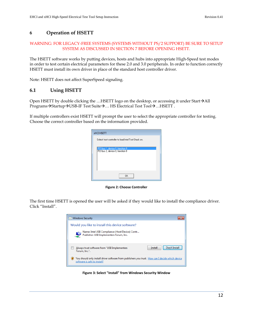# <span id="page-11-0"></span>**6 Operation of HSETT**

#### WARNING: FOR LEGACY-FREE SYSTEMS (SYSTEMS WITHOUT PS/2 SUPPORT) BE SURE TO SETUP SYSTEM AS DISCUSSED IN SECTION [7](#page-15-0) BEFORE OPENING HSETT.

The HSETT software works by putting devices, hosts and hubs into appropriate High-Speed test modes in order to test certain electrical parameters for these 2.0 and 3.0 peripherals. In order to function correctly HSETT must install its own driver in place of the standard host controller driver.

Note: HSETT does not affect SuperSpeed signaling.

## <span id="page-11-1"></span>**6.1 Using HSETT**

Open HSETT by double clicking the ...HSETT logo on the desktop, or accessing it under Start $\rightarrow$ All  $P$ rograms $\rightarrow$ Startup $\rightarrow$ USB-IF Test Suite $\rightarrow$ ... HS Electrical Test Tool $\rightarrow$ ...HSETT.

If multiple controllers exist HSETT will prompt the user to select the appropriate controller for testing. Choose the correct controller based on the information provided.

| <b>xHCI HSETT</b>                                                  |
|--------------------------------------------------------------------|
| Select host controller to load Intel Test Stack on.                |
| PCI bus 1, device 0, function 0<br>PCI bus 2, device 0, function 0 |
| 0K                                                                 |

**Figure 2: Choose Controller**

<span id="page-11-2"></span>The first time HSETT is opened the user will be asked if they would like to install the compliance driver. Click "Install".

<span id="page-11-3"></span>

**Figure 3: Select "Install" from Windows Security Window**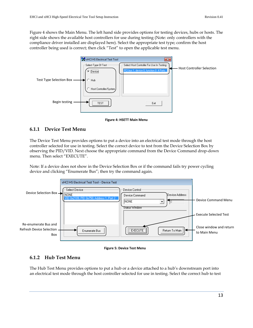[Figure 4](#page-12-2) shows the Main Menu. The left hand side provides options for testing devices, hubs or hosts. The right side shows the available host controllers for use during testing (Note: only controllers with the compliance driver installed are displayed here). Select the appropriate test type; confirm the host controller being used is correct; then click "Test" to open the applicable test menu.



**Figure 4: HSETT Main Menu**

# <span id="page-12-2"></span><span id="page-12-0"></span>**6.1.1 Device Test Menu**

The Device Test Menu provides options to put a device into an electrical test mode through the host controller selected for use in testing. Select the correct device to test from the Device Selection Box by observing the PID/VID. Next choose the appropriate command from the Device Command drop-down menu. Then select "EXECUTE".

Note: If a device does not show in the Device Selection Box or if the command fails try power cycling device and clicking "Enumerate Bus"; then try the command again.



**Figure 5: Device Test Menu**

# <span id="page-12-3"></span><span id="page-12-1"></span>**6.1.2 Hub Test Menu**

The Hub Test Menu provides options to put a hub or a device attached to a hub's downstream port into an electrical test mode through the host controller selected for use in testing. Select the correct hub to test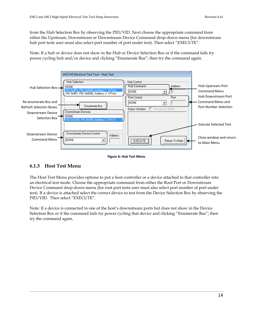from the Hub Selection Box by observing the PID/VID. Next choose the appropriate command from either the Upstream, Downstream or Downstream Device Command drop-down menu (for downstream hub port tests user must also select port number of port under test). Then select "EXECUTE".

Note: If a hub or device does not show in the Hub or Device Selection Box or if the command fails try power cycling hub and/or device and clicking "Enumerate Bus"; then try the command again.

|                                                        | xHCI HS Electrical Test Tool - Hub Test                                                                                                                                             |                                                                 |
|--------------------------------------------------------|-------------------------------------------------------------------------------------------------------------------------------------------------------------------------------------|-----------------------------------------------------------------|
| Hub Selection Box $\rightarrow$                        | Hub Selection-<br>Hub Control:<br>Hub Command<br><b>Address</b><br>NONE<br>0x8040. Address<br>4 Ports<br>INONE.<br>VID 0x451, PID 0x8042, Address 3 4 Ports<br>Port Control<br>Port | Hub Upstream Port<br><b>Command Menu</b><br>Hub Downstream Port |
| Re-enumerate Bus and<br><b>Refresh Selection Boxes</b> | INONE.<br>Enumerate Bus                                                                                                                                                             | Command Menu and<br>Port Number Selection                       |
| Downstream Device<br>Selection Box                     | □ Disconnect Notify<br>Status Window<br>Downstream Devices<br>NONE<br>D. 0x2109, PID. 0x750, Address 2, Port 0.                                                                     |                                                                 |
|                                                        |                                                                                                                                                                                     | <b>Execute Selected Test</b>                                    |
| Downstream Device<br><b>Command Menu</b>               | Downstream Device Control:<br><b>Address</b><br><b>INONE</b><br><b>EXECUTE</b><br>Return To Main  <br>▼                                                                             | Close window and return<br>to Main Menu                         |

#### **Figure 6: Hub Test Menu**

# <span id="page-13-1"></span><span id="page-13-0"></span>**6.1.3 Host Test Menu**

The Host Test Menu provides options to put a host controller or a device attached to that controller into an electrical test mode. Choose the appropriate command from either the Root Port or Downstream Device Command drop-down menu (for root port tests user must also select port number of port under test). If a device is attached select the correct device to test from the Device Selection Box by observing the PID/VID. Then select "EXECUTE".

Note: If a device is connected to one of the host's downstream ports but does not show in the Device Selection Box or if the command fails try power cycling that device and clicking "Enumerate Bus"; then try the command again.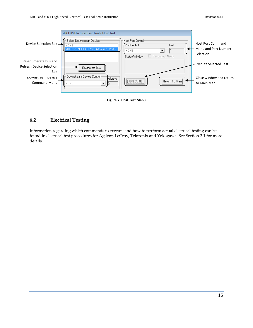



# <span id="page-14-1"></span><span id="page-14-0"></span>**6.2 Electrical Testing**

Information regarding which commands to execute and how to perform actual electrical testing can be found in electrical test procedures for Agilent, LeCroy, Tektronix and Yokogawa. See Section [3.1](#page-7-1) for more details.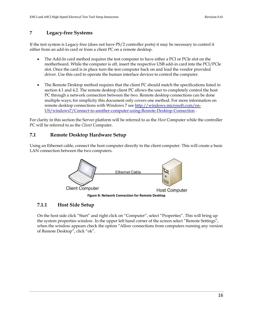# <span id="page-15-0"></span>**7 Legacy-free Systems**

If the test system is Legacy-free (does not have PS/2 controller ports) it may be necessary to control it either from an add-in card or from a client PC on a remote desktop.

- The Add-In card method requires the test computer to have either a PCI or PCIe slot on the motherboard. While the computer is off, insert the respective USB add-in card into the PCI/PCIe slot. Once the card is in place turn the test computer back on and load the vendor provided driver. Use this card to operate the human interface devices to control the computer.
- The Remote Desktop method requires that the client PC should match the specifications listed in section 4.1 and 4.2. The remote desktop client PC allows the user to completely control the host PC through a network connection between the two. Remote desktop connections can be done multiple ways; for simplicity this document only covers one method. For more information on remote desktop connections with Windows 7 se[e http://windows.microsoft.com/en-](http://windows.microsoft.com/en-US/windows7/Connect-to-another-computer-using-Remote-Desktop-Connection)[US/windows7/Connect-to-another-computer-using-Remote-Desktop-Connection](http://windows.microsoft.com/en-US/windows7/Connect-to-another-computer-using-Remote-Desktop-Connection) .

For clarity in this section the Server platform will be referred to as the *Host* Computer while the controller PC will be referred to as the *Client* Computer.

# <span id="page-15-1"></span>**7.1 Remote Desktop Hardware Setup**

Using an Ethernet cable, connect the host computer directly to the client computer. This will create a basic LAN connection between the two computers.



# <span id="page-15-3"></span><span id="page-15-2"></span>**7.1.1 Host Side Setup**

On the host side click "Start" and right click on "Computer", select "Properties". This will bring up the system properties window. In the upper left hand corner of the screen select "Remote Settings", when the window appears check the option "Allow connections from computers running any version of Remote Desktop", click "ok".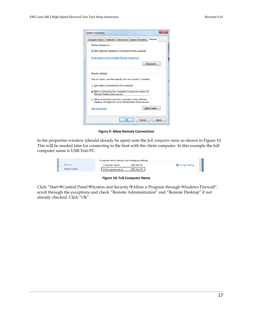| Computer Name   Hardware   Advanced                  |                              | <b>System Protection</b>                                                                                        | Remote       |  |
|------------------------------------------------------|------------------------------|-----------------------------------------------------------------------------------------------------------------|--------------|--|
| Remote Assistance                                    |                              |                                                                                                                 |              |  |
|                                                      |                              | M Allow Remote Assistance connections to this computer                                                          |              |  |
|                                                      |                              |                                                                                                                 |              |  |
| What happens when I enable Remote Assistance?        |                              |                                                                                                                 |              |  |
|                                                      |                              |                                                                                                                 | Advanced     |  |
|                                                      |                              |                                                                                                                 |              |  |
| Remote Desktop                                       |                              |                                                                                                                 |              |  |
|                                                      |                              | Click an option, and then specify who can connect, if needed.                                                   |              |  |
|                                                      |                              |                                                                                                                 |              |  |
|                                                      |                              |                                                                                                                 |              |  |
| <b>ODOD</b> Don't allow connections to this computer |                              |                                                                                                                 |              |  |
|                                                      |                              | (a) Allow connections from computers running any version of                                                     |              |  |
|                                                      | Remote Desktop (less secure) |                                                                                                                 |              |  |
|                                                      |                              | Allow connections only from computers running Remote<br>Desktop with Network Level Authentication (more secure) |              |  |
|                                                      |                              |                                                                                                                 |              |  |
| Help me choose                                       |                              |                                                                                                                 | Select Users |  |
|                                                      |                              |                                                                                                                 |              |  |

**Figure 9: Allow Remote Connections**

<span id="page-16-0"></span>In the properties window (should already be open) note the *full computer name* as shown in Figure 10. This will be needed later for connecting to the host with the client computer. In this example the full computer name is USB-Test-PC.

|                      | Computer name, domain, and workgroup settings |                    |                 |
|----------------------|-----------------------------------------------|--------------------|-----------------|
| See also             | Computer name:                                | USB Test-PC        | Change settings |
| <b>Action Center</b> | Full computer name:                           | <b>USB Test-PC</b> |                 |

**Figure 10: Full Computer Name**

<span id="page-16-1"></span>Click "Start->Control Panel->System and Security->Allow a Program through Windows Firewall", scroll through the exceptions and check "Remote Administration" and "Remote Desktop" if not already checked. Click "Ok".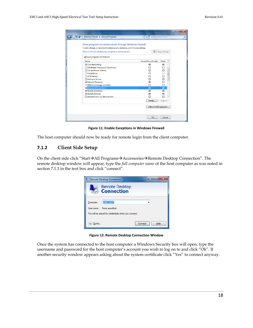| « Windows Firewall > Allowed Programs                                                                                                                                                                                                                                                                  | $4 +$<br>▾┆                                                    | and a fact of the<br>Search Control Panel                                                                                               | $\overline{\mathbf{x}}$<br>م |
|--------------------------------------------------------------------------------------------------------------------------------------------------------------------------------------------------------------------------------------------------------------------------------------------------------|----------------------------------------------------------------|-----------------------------------------------------------------------------------------------------------------------------------------|------------------------------|
| Allow programs to communicate through Windows Firewall                                                                                                                                                                                                                                                 |                                                                |                                                                                                                                         |                              |
| To add, change, or remove allowed programs and ports, click Change settings.<br>What are the risks of allowing a program to communicate?                                                                                                                                                               |                                                                | Change settings                                                                                                                         |                              |
| Allowed programs and features:                                                                                                                                                                                                                                                                         |                                                                |                                                                                                                                         |                              |
| Name                                                                                                                                                                                                                                                                                                   | Home/Work (Private)                                            | Public<br>۸                                                                                                                             |                              |
| Core Networking<br><b>National Transaction Coordinator</b><br>File and Printer Sharing<br><b>HomeGroup</b><br>□ iSCSI Service<br>Netlogon Service<br>Network Discovery<br>Performance Logs and Alerts<br>Remote Administration<br>Remote Assistance<br>Remote Desktop<br>□ Remote Event Log Management | ☑<br>П<br>□<br>п<br>п<br>□<br>☑<br>п<br>⊡<br>☑<br>☑<br>Details | 罓<br>$\Box$<br>□<br>$\Box$<br>Ξ<br>$\Box$<br>$\Box$<br>п<br>П<br>$\overline{\mathbf{v}}$<br>$\overline{\mathbf{v}}$<br>☑<br>г<br>Remove |                              |
|                                                                                                                                                                                                                                                                                                        | Allow another program                                          |                                                                                                                                         |                              |
|                                                                                                                                                                                                                                                                                                        | OK                                                             | Cancel                                                                                                                                  |                              |

**Figure 11: Enable Exceptions in Windows Firewall**

<span id="page-17-1"></span>The host computer should now be ready for remote login from the client computer.

#### <span id="page-17-0"></span>**7.1.2 Client Side Setup**

On the client side click "Start $\rightarrow$ All Programs $\rightarrow$ Accessories $\rightarrow$ Remote Desktop Connection". The remote desktop window will appear, type the *full computer name* of the host computer as was noted in section 7.1.1 in the text box and click "connect".



**Figure 12: Remote Desktop Connection Window**

<span id="page-17-2"></span>Once the system has connected to the host computer a Windows Security box will open, type the username and password for the host computer's account you wish to log on to and click "Ok". If another security window appears asking about the system certificate click "Yes" to connect anyway.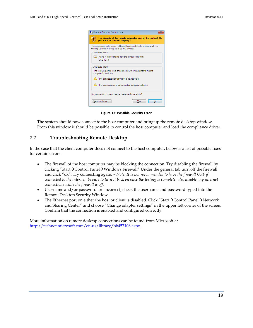|   | Remote Desktop Connection                                                                                                     |
|---|-------------------------------------------------------------------------------------------------------------------------------|
|   | The identity of the remote computer cannot be verified. Do<br>you want to connect anyway?                                     |
|   | The remote computer could not be authenticated due to problems with its<br>security certificate. It may be unsafe to proceed. |
|   | Certificate name                                                                                                              |
| ы | Name in the certificate from the remote computer:<br><b>USB-TEST</b>                                                          |
|   | Certificate emors                                                                                                             |
|   | The following errors were encountered while validating the remote<br>computer's certificate:                                  |
|   | $\triangle$ The certificate has expired or is not yet valid.                                                                  |
|   | $\bigwedge$ The certificate is not from a trusted certifying authority.                                                       |
|   | Do you want to connect despite these certificate errors?                                                                      |
|   | View certificate<br>Yes                                                                                                       |

**Figure 13: Possible Security Error**

<span id="page-18-1"></span>The system should now connect to the host computer and bring up the remote desktop window. From this window it should be possible to control the host computer and load the compliance driver.

# <span id="page-18-0"></span>**7.2 Troubleshooting Remote Desktop**

In the case that the client computer does not connect to the host computer, below is a list of possible fixes for certain errors:

- The firewall of the host computer may be blocking the connection. Try disabling the firewall by clicking "Start $\rightarrow$ Control Panel $\rightarrow$ Windows Firewall" Under the general tab turn off the firewall and click "ok". Try connecting again. – *Note: It is not recommended to have the firewall OFF if connected to the internet, be sure to turn it back on once the testing is complete, also disable any internet connections while the firewall is off.*
- Username and/or password are incorrect, check the username and password typed into the Remote Desktop Security Window.
- The Ethernet port on either the host or client is disabled. Click "Start $\rightarrow$ Control Panel $\rightarrow$ Network and Sharing Center" and choose "Change adapter settings" in the upper left corner of the screen. Confirm that the connection is enabled and configured correctly.

More information on remote desktop connections can be found from Microsoft at <http://technet.microsoft.com/en-us/library/bb457106.aspx> .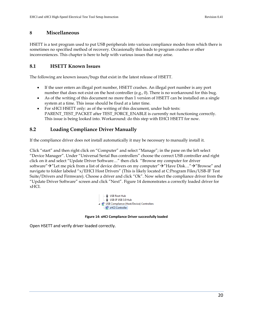# <span id="page-19-0"></span>**8 Miscellaneous**

HSETT is a test program used to put USB peripherals into various compliance modes from which there is sometimes no specified method of recovery. Occasionally this leads to program crashes or other inconveniences. This chapter is here to help with various issues that may arise.

# <span id="page-19-1"></span>**8.1 HSETT Known Issues**

The following are known issues/bugs that exist in the latest release of HSETT.

- If the user enters an illegal port number, HSETT crashes. An illegal port number is any port number that does not exist on the host controller (e.g., 0). There is no workaround for this bug.
- As of the writing of this document no more than 1 version of HSETT can be installed on a single system at a time. This issue should be fixed at a later time.
- For xHCI HSETT only: as of the writing of this document, under hub tests: PARENT\_TEST\_PACKET after TEST\_FORCE\_ENABLE is currently not functioning correctly. This issue is being looked into. Workaround: do this step with EHCI HSETT for now.

# <span id="page-19-2"></span>**8.2 Loading Compliance Driver Manually**

If the compliance driver does not install automatically it may be necessary to manually install it.

Click "start" and then right click on "Computer" and select "Manage"; in the pane on the left select "Device Manager". Under "Universal Serial Bus controllers" choose the correct USB controller and right click on it and select "Update Driver Software…" then click "Browse my computer for driver software" $\rightarrow$ "Let me pick from a list of device drivers on my computer" $\rightarrow$ "Have Disk..." $\rightarrow$ "Browse" and navigate to folder labeled "x/EHCI Host Drivers" (This is likely located at C:Program Files/USB-IF Test Suite/Drivers and Firmware). Choose a driver and click "Ok". Now select the compliance driver from the "Update Driver Software" screen and click "Next". [Figure 14](#page-19-3) demonstrates a correctly loaded driver for xHCI.



#### **Figure 14: xHCI Compliance Driver successfully loaded**

<span id="page-19-3"></span>Open HSETT and verify driver loaded correctly.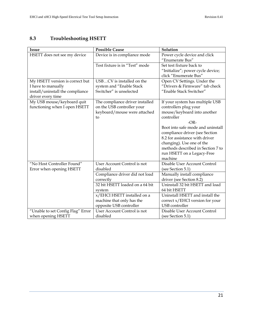# <span id="page-20-0"></span>**8.3 Troubleshooting HSETT**

| <b>Issue</b>                      | <b>Possible Cause</b>           | Solution                          |
|-----------------------------------|---------------------------------|-----------------------------------|
| HSETT does not see my device      | Device is in compliance mode    | Power cycle device and click      |
|                                   |                                 | "Enumerate Bus"                   |
|                                   | Test fixture is in "Test" mode  | Set test fixture back to          |
|                                   |                                 | "Initialize"; power cycle device; |
|                                   |                                 | click "Enumerate Bus"             |
| My HSETT version is correct but   | USBCV is installed on the       | Open CV Settings. Under the       |
| I have to manually                | system and "Enable Stack        | "Drivers & Firmware" tab check    |
| install/uninstall the compliance  | Switcher" is unselected         | "Enable Stack Switcher"           |
| driver every time                 |                                 |                                   |
| My USB mouse/keyboard quit        | The compliance driver installed | If your system has multiple USB   |
| functioning when I open HSETT     | on the USB controller your      | controllers plug your             |
|                                   | keyboard/mouse were attached    | mouse/keyboard into another       |
|                                   | to                              | controller                        |
|                                   |                                 | $-OR-$                            |
|                                   |                                 | Boot into safe mode and uninstall |
|                                   |                                 | compliance driver (see Section    |
|                                   |                                 | 8.2 for assistance with driver    |
|                                   |                                 | changing). Use one of the         |
|                                   |                                 | methods described in Section 7 to |
|                                   |                                 | run HSETT on a Legacy-Free        |
|                                   |                                 | machine                           |
| "No Host Controller Found"        | User Account Control is not     | Disable User Account Control      |
| Error when opening HSETT          | disabled                        | (see Section 5.1)                 |
|                                   | Compliance driver did not load  | Manually install compliance       |
|                                   | correctly                       | driver (see Section 8.2)          |
|                                   | 32 bit HSETT loaded on a 64 bit | Uninstall 32 bit HSETT and load   |
|                                   | system                          | 64 bit HSETT                      |
|                                   | x/EHCI HSETT installed on a     | Uninstall HSETT and install the   |
|                                   | machine that only has the       | correct x/EHCI version for your   |
|                                   | opposite USB controller         | USB controller                    |
| "Unable to set Config Flag" Error | User Account Control is not     | Disable User Account Control      |
| when opening HSETT                | disabled                        | (see Section 5.1)                 |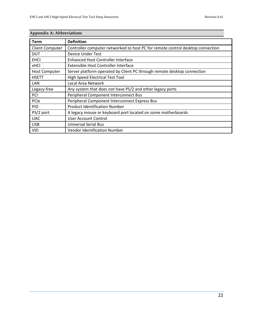| Appendix A: Appreviations |                                                                                |  |  |
|---------------------------|--------------------------------------------------------------------------------|--|--|
| <b>Term</b>               | <b>Definition</b>                                                              |  |  |
| <b>Client Computer</b>    | Controller computer networked to host PC for remote control desktop connection |  |  |
| <b>DUT</b>                | Device Under Test                                                              |  |  |
| <b>EHCI</b>               | Enhanced Host Controller Interface                                             |  |  |
| <b>xHCI</b>               | Extensible Host Controller Interface                                           |  |  |
| <b>Host Computer</b>      | Server platform operated by Client PC through remote desktop connection        |  |  |
| <b>HSETT</b>              | High Speed Electrical Test Tool                                                |  |  |
| LAN                       | Local Area Network                                                             |  |  |
| Legacy-free               | Any system that does not have PS/2 and other legacy ports                      |  |  |
| PCI                       | Peripheral Component Interconnect Bus                                          |  |  |
| PCIe                      | Peripheral Component Interconnect Express Bus                                  |  |  |
| <b>PID</b>                | <b>Product Identification Number</b>                                           |  |  |
| PS/2 port                 | A legacy mouse or keyboard port located on some motherboards                   |  |  |
| <b>UAC</b>                | User Account Control                                                           |  |  |
| <b>USB</b>                | <b>Universal Serial Bus</b>                                                    |  |  |
| VID                       | <b>Vendor Identification Number</b>                                            |  |  |

# **Appendix A: Abbreviations**